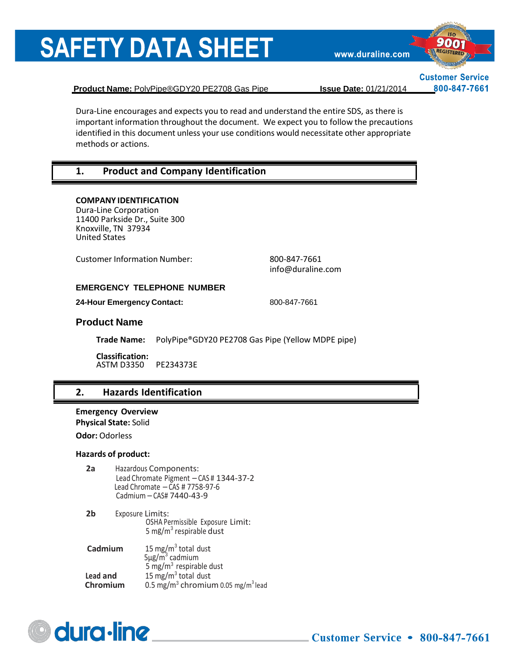www.duraline.com



**Customer Service** 800-847-7661

**Product Name:** PolyPipe®GDY20 PE2708 Gas Pipe **Issue Date:** 01/21/2014

Dura-Line encourages and expects you to read and understand the entire SDS, as there is important information throughout the document. We expect you to follow the precautions identified in this document unless your use conditions would necessitate other appropriate methods or actions.

### **1. Product and Company Identification**

#### **COMPANY IDENTIFICATION**

Dura-Line Corporation 11400 Parkside Dr., Suite 300 Knoxville, TN 37934 United States

Customer Information Number: 800-847-7661

[info@duraline.com](mailto:SDSQuestion@dow.com)

#### **EMERGENCY TELEPHONE NUMBER**

**24-Hour Emergency Contact:** 800-847-7661

#### **Product Name**

**Trade Name:** PolyPipe®GDY20 PE2708 Gas Pipe (Yellow MDPE pipe)

**Classification:** ASTM D3350 PE234373E

#### **2. Hazards Identification**

**Emergency Overview** 

**Physical State:** Solid

**Odor:** Odorless

#### **Hazards of product:**

- **2a** Hazardous Components: Lead Chromate Pigment – CAS # 1344-37-2 Lead Chromate – CAS # 7758-97-6 Cadmium – CAS# 7440-43-9
- **2b** Exposure Limits: OSHA Permissible Exposure Limit: 5 mg/m<sup>3</sup> respirable dust

| Cadmium  | 15 mg/m <sup>3</sup> total dust<br>$5\mu$ g/m <sup>3</sup> cadmium |
|----------|--------------------------------------------------------------------|
|          |                                                                    |
|          | 5 mg/m <sup>3</sup> respirable dust                                |
| Lead and | 15 mg/m <sup>3</sup> total dust                                    |
| Chromium | 0.5 mg/m <sup>3</sup> chromium 0.05 mg/m <sup>3</sup> lead         |

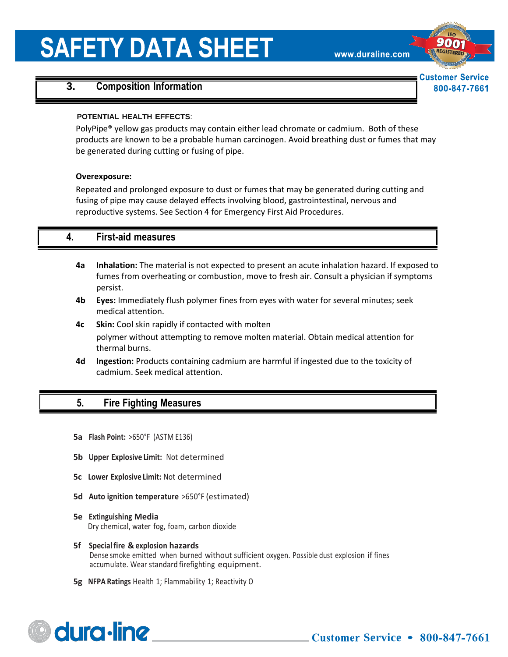www.duraline.com

**Customer Service** 800-847-7661

# **3. Composition Information**

#### **POTENTIAL HEALTH EFFECTS**:

PolyPipe® yellow gas products may contain either lead chromate or cadmium. Both of these products are known to be a probable human carcinogen. Avoid breathing dust or fumes that may be generated during cutting or fusing of pipe.

#### **Overexposure:**

Repeated and prolonged exposure to dust or fumes that may be generated during cutting and fusing of pipe may cause delayed effects involving blood, gastrointestinal, nervous and reproductive systems. See Section 4 for Emergency First Aid Procedures.

### **4. First-aid measures**

- **4a Inhalation:** The material is not expected to present an acute inhalation hazard. If exposed to fumes from overheating or combustion, move to fresh air. Consult a physician if symptoms persist.
- **4b Eyes:** Immediately flush polymer fines from eyes with water for several minutes; seek medical attention.
- **4c Skin:** Cool skin rapidly if contacted with molten polymer without attempting to remove molten material. Obtain medical attention for thermal burns.
- **4d Ingestion:** Products containing cadmium are harmful if ingested due to the toxicity of cadmium. Seek medical attention.

# **5. Fire Fighting Measures**

- **5a Flash Point:** >650°F (ASTM E136)
- **5b Upper Explosive Limit:** Not determined
- **5c Lower Explosive Limit:** Not determined
- **5d Auto ignition temperature** >650°F (estimated)
- **5e Extinguishing Media** Dry chemical, water fog, foam, carbon dioxide
- **5f Specialfire & explosion hazards** Dense smoke emitted when burned without sufficient oxygen. Possible dust explosion if fines accumulate. Wear standard firefighting equipment.
- **5g NFPA Ratings** Health 1; Flammability 1; Reactivity 0

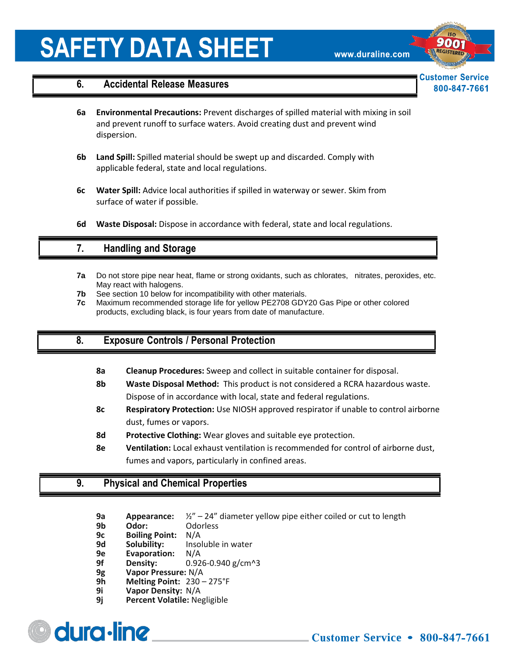www.duraline.com

**Customer Service** 800-847-7661

#### **6. Accidental Release Measures**

- **6a Environmental Precautions:** Prevent discharges of spilled material with mixing in soil and prevent runoff to surface waters. Avoid creating dust and prevent wind dispersion.
- **6b Land Spill:** Spilled material should be swept up and discarded. Comply with applicable federal, state and local regulations.
- **6c Water Spill:** Advice local authorities if spilled in waterway or sewer. Skim from surface of water if possible.
- **6d Waste Disposal:** Dispose in accordance with federal, state and local regulations.

### **7. Handling and Storage**

- **7a** Do not store pipe near heat, flame or strong oxidants, such as chlorates, nitrates, peroxides, etc. May react with halogens.
- **7b** See section 10 below for incompatibility with other materials.
- **7c** Maximum recommended storage life for yellow PE2708 GDY20 Gas Pipe or other colored products, excluding black, is four years from date of manufacture.

# **8. Exposure Controls / Personal Protection**

- **8a Cleanup Procedures:** Sweep and collect in suitable container for disposal.
- **8b Waste Disposal Method:** This product is not considered a RCRA hazardous waste. Dispose of in accordance with local, state and federal regulations.
- **8c Respiratory Protection:** Use NIOSH approved respirator if unable to control airborne dust, fumes or vapors.
- **8d Protective Clothing:** Wear gloves and suitable eye protection.
- **8e Ventilation:** Local exhaust ventilation is recommended for control of airborne dust, fumes and vapors, particularly in confined areas.

### **9. Physical and Chemical Properties**

- **9a Appearance:** ½" 24" diameter yellow pipe either coiled or cut to length
- **9b Odor:** Odorless
- **9c Boiling Point:** N/A
- **9d Solubility:** Insoluble in water
- **9e Evaporation:** N/A
- **9f Density:** 0.926-0.940 g/cm^3
- **9g Vapor Pressure:** N/A
- **9h Melting Point:** 230 275°F
- **9i Vapor Density:** N/A
- **9j Percent Volatile:** Negligible

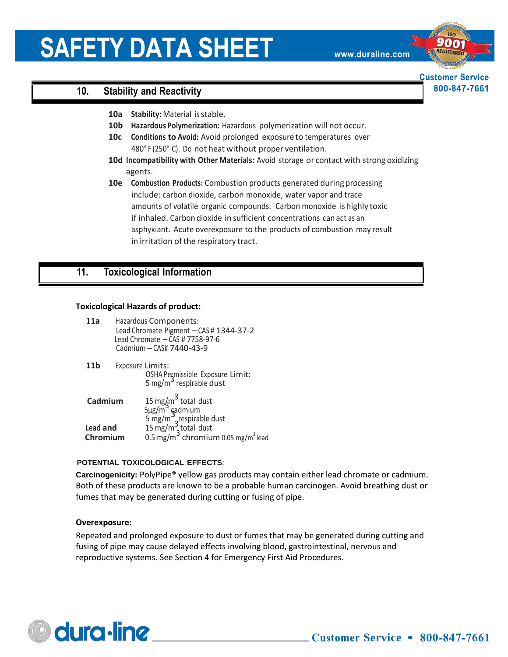www.duraline.com

**Customer Service** 800-847-7661

# **10. Stability and Reactivity**

- **10a Stability:** Material isstable.
- **10b Hazardous Polymerization:** Hazardous polymerization will not occur.
- **10c Conditions to Avoid:** Avoid prolonged exposure to temperatures over 480° F (250° C). Do not heat without proper ventilation.
- **10d Incompatibility with Other Materials:** Avoid storage or contact with strong oxidizing agents.
- **10e Combustion Products:** Combustion products generated during processing include: carbon dioxide, carbon monoxide, water vapor and trace amounts of volatile organic compounds. Carbon monoxide is highly toxic if inhaled. Carbon dioxide in sufficient concentrations can act as an asphyxiant. Acute overexposure to the products of combustion may result in irritation of the respiratory tract.

### **11. Toxicological Information**

#### **Toxicological Hazards of product:**

| 11a | Hazardous Components:                   |
|-----|-----------------------------------------|
|     | Lead Chromate Pigment - CAS # 1344-37-2 |
|     | Lead Chromate $-$ CAS # 7758-97-6       |
|     | Cadmium - CAS# 7440-43-9                |
|     |                                         |

| 11 <sub>b</sub> | Exposure Limits:                    |
|-----------------|-------------------------------------|
|                 | OSHA Permissible Exposure Limit:    |
|                 | 5 mg/m <sup>3</sup> respirable dust |
|                 |                                     |

| Cadmium              | 15 mg/m <sup>3</sup> total dust<br>5µg/m <sup>3</sup> gadmium<br>5 mg/m <sup>3</sup> grespirable dust<br>15 mg/m <sup>3</sup> total dust |
|----------------------|------------------------------------------------------------------------------------------------------------------------------------------|
| Lead and<br>Chromium | 0.5 mg/m <sup>3</sup> chromium 0.05 mg/m <sup>3</sup> lead                                                                               |

#### **POTENTIAL TOXICOLOGICAL EFFECTS**:

**Carcinogenicity:** PolyPipe® yellow gas products may contain either lead chromate or cadmium. Both of these products are known to be a probable human carcinogen. Avoid breathing dust or fumes that may be generated during cutting or fusing of pipe.

#### **Overexposure:**

Repeated and prolonged exposure to dust or fumes that may be generated during cutting and fusing of pipe may cause delayed effects involving blood, gastrointestinal, nervous and reproductive systems. See Section 4 for Emergency First Aid Procedures.